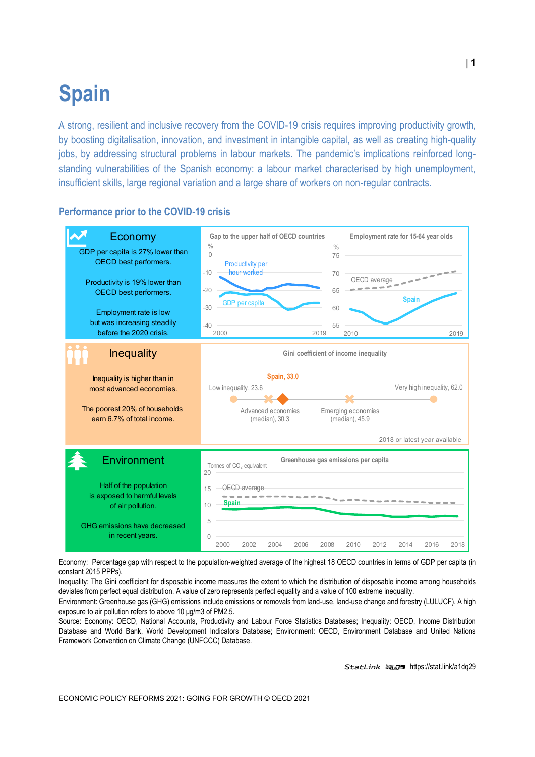# **Spain**

A strong, resilient and inclusive recovery from the COVID-19 crisis requires improving productivity growth, by boosting digitalisation, innovation, and investment in intangible capital, as well as creating high-quality jobs, by addressing structural problems in labour markets. The pandemic's implications reinforced longstanding vulnerabilities of the Spanish economy: a labour market characterised by high unemployment, insufficient skills, large regional variation and a large share of workers on non-regular contracts.

# **Performance prior to the COVID-19 crisis**



Economy: Percentage gap with respect to the population-weighted average of the highest 18 OECD countries in terms of GDP per capita (in constant 2015 PPPs).

Inequality: The Gini coefficient for disposable income measures the extent to which the distribution of disposable income among households deviates from perfect equal distribution. A value of zero represents perfect equality and a value of 100 extreme inequality.

Environment: Greenhouse gas (GHG) emissions include emissions or removals from land-use, land-use change and forestry (LULUCF). A high exposure to air pollution refers to above 10 μg/m3 of PM2.5.

Source: Economy: OECD, National Accounts, Productivity and Labour Force Statistics Databases; Inequality: OECD, Income Distribution Database and World Bank, World Development Indicators Database; Environment: OECD, Environment Database and United Nations Framework Convention on Climate Change (UNFCCC) Database.

StatLink **ansP** <https://stat.link/a1dq29>

**1**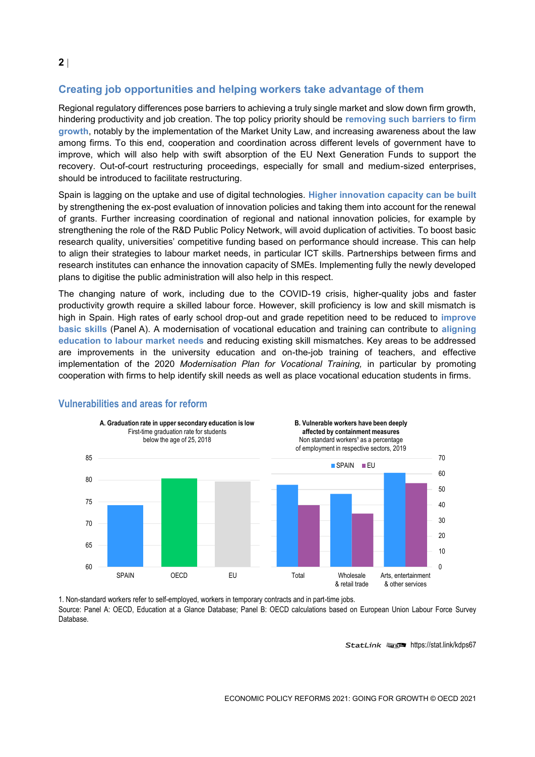# **Creating job opportunities and helping workers take advantage of them**

Regional regulatory differences pose barriers to achieving a truly single market and slow down firm growth, hindering productivity and job creation. The top policy priority should be **removing such barriers to firm growth**, notably by the implementation of the Market Unity Law, and increasing awareness about the law among firms. To this end, cooperation and coordination across different levels of government have to improve, which will also help with swift absorption of the EU Next Generation Funds to support the recovery. Out-of-court restructuring proceedings, especially for small and medium-sized enterprises, should be introduced to facilitate restructuring.

Spain is lagging on the uptake and use of digital technologies. **Higher innovation capacity can be built**  by strengthening the ex-post evaluation of innovation policies and taking them into account for the renewal of grants. Further increasing coordination of regional and national innovation policies, for example by strengthening the role of the R&D Public Policy Network, will avoid duplication of activities. To boost basic research quality, universities' competitive funding based on performance should increase. This can help to align their strategies to labour market needs, in particular ICT skills. Partnerships between firms and research institutes can enhance the innovation capacity of SMEs. Implementing fully the newly developed plans to digitise the public administration will also help in this respect.

The changing nature of work, including due to the COVID-19 crisis, higher-quality jobs and faster productivity growth require a skilled labour force. However, skill proficiency is low and skill mismatch is high in Spain. High rates of early school drop-out and grade repetition need to be reduced to **improve basic skills** (Panel A). A modernisation of vocational education and training can contribute to **aligning education to labour market needs** and reducing existing skill mismatches. Key areas to be addressed are improvements in the university education and on-the-job training of teachers, and effective implementation of the 2020 *Modernisation Plan for Vocational Training,* in particular by promoting cooperation with firms to help identify skill needs as well as place vocational education students in firms.



#### **Vulnerabilities and areas for reform**

1. Non-standard workers refer to self-employed, workers in temporary contracts and in part-time jobs. Source: Panel A: OECD, Education at a Glance Database; Panel B: OECD calculations based on European Union Labour Force Survey Database.

StatLink **anset** <https://stat.link/kdps67>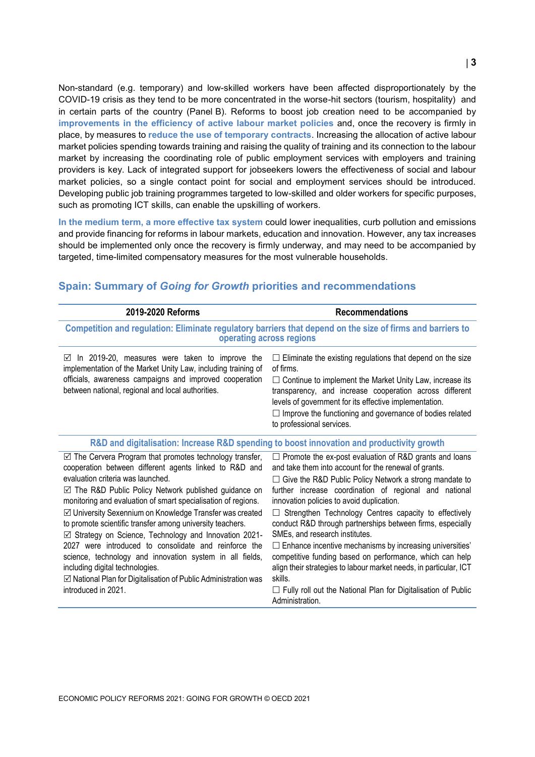Non-standard (e.g. temporary) and low-skilled workers have been affected disproportionately by the COVID-19 crisis as they tend to be more concentrated in the worse-hit sectors (tourism, hospitality) and in certain parts of the country (Panel B). Reforms to boost job creation need to be accompanied by **improvements in the efficiency of active labour market policies** and, once the recovery is firmly in place, by measures to **reduce the use of temporary contracts**. Increasing the allocation of active labour market policies spending towards training and raising the quality of training and its connection to the labour market by increasing the coordinating role of public employment services with employers and training providers is key. Lack of integrated support for jobseekers lowers the effectiveness of social and labour market policies, so a single contact point for social and employment services should be introduced. Developing public job training programmes targeted to low-skilled and older workers for specific purposes, such as promoting ICT skills, can enable the upskilling of workers.

**In the medium term, a more effective tax system** could lower inequalities, curb pollution and emissions and provide financing for reforms in labour markets, education and innovation. However, any tax increases should be implemented only once the recovery is firmly underway, and may need to be accompanied by targeted, time-limited compensatory measures for the most vulnerable households.

| <b>Recommendations</b>                                                                                                                                                                                                                                                                                                                                                                                                                                                                                                                                                                                                                                                                                                                         |  |
|------------------------------------------------------------------------------------------------------------------------------------------------------------------------------------------------------------------------------------------------------------------------------------------------------------------------------------------------------------------------------------------------------------------------------------------------------------------------------------------------------------------------------------------------------------------------------------------------------------------------------------------------------------------------------------------------------------------------------------------------|--|
| Competition and regulation: Eliminate regulatory barriers that depend on the size of firms and barriers to<br>operating across regions                                                                                                                                                                                                                                                                                                                                                                                                                                                                                                                                                                                                         |  |
| $\Box$ Eliminate the existing regulations that depend on the size<br>of firms.<br>$\Box$ Continue to implement the Market Unity Law, increase its<br>transparency, and increase cooperation across different<br>levels of government for its effective implementation.<br>$\Box$ Improve the functioning and governance of bodies related<br>to professional services.                                                                                                                                                                                                                                                                                                                                                                         |  |
| R&D and digitalisation: Increase R&D spending to boost innovation and productivity growth                                                                                                                                                                                                                                                                                                                                                                                                                                                                                                                                                                                                                                                      |  |
| $\Box$ Promote the ex-post evaluation of R&D grants and loans<br>and take them into account for the renewal of grants.<br>$\Box$ Give the R&D Public Policy Network a strong mandate to<br>further increase coordination of regional and national<br>innovation policies to avoid duplication.<br>Strengthen Technology Centres capacity to effectively<br>conduct R&D through partnerships between firms, especially<br>SMEs, and research institutes.<br>$\Box$ Enhance incentive mechanisms by increasing universities'<br>competitive funding based on performance, which can help<br>align their strategies to labour market needs, in particular, ICT<br>skills.<br>$\Box$ Fully roll out the National Plan for Digitalisation of Public |  |
|                                                                                                                                                                                                                                                                                                                                                                                                                                                                                                                                                                                                                                                                                                                                                |  |

### **Spain: Summary of** *Going for Growth* **priorities and recommendations**